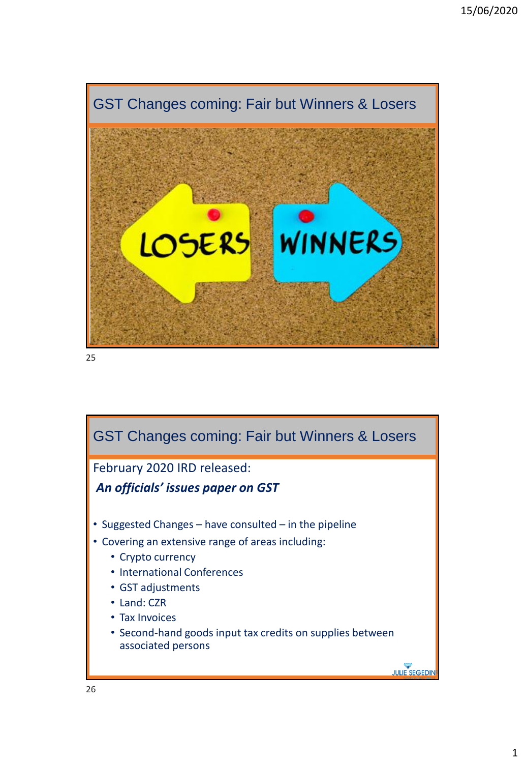

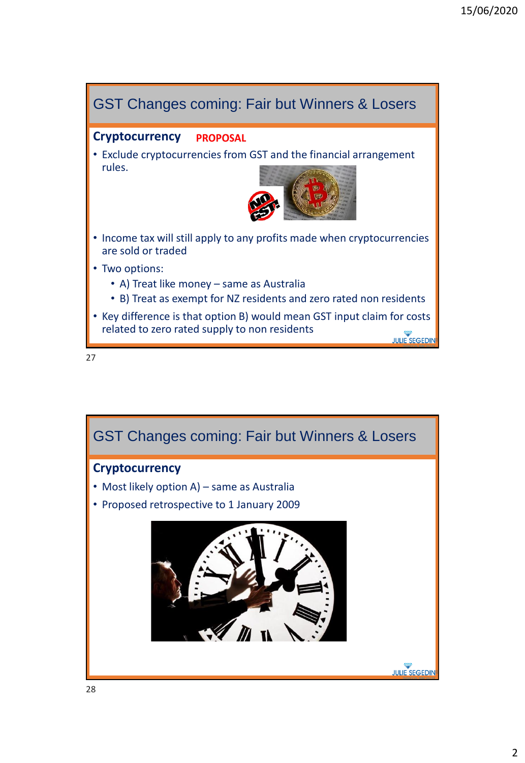

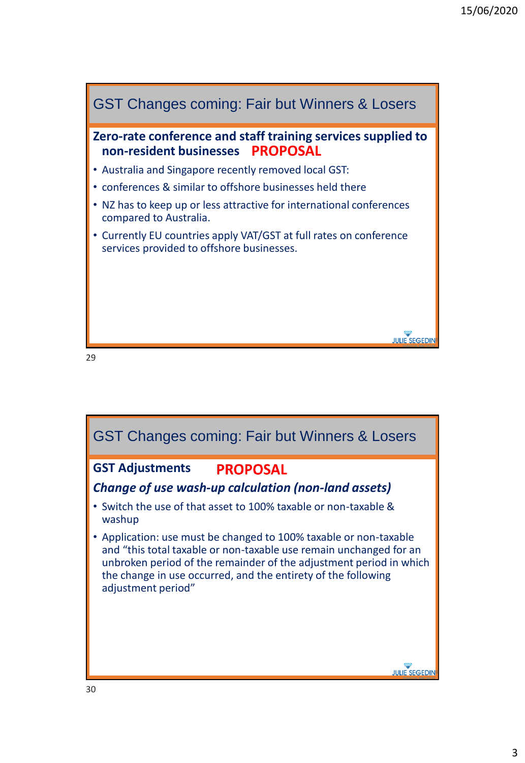

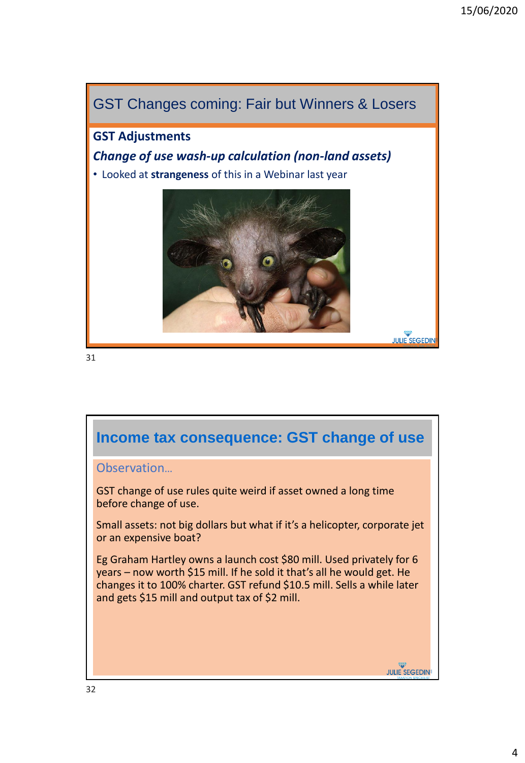

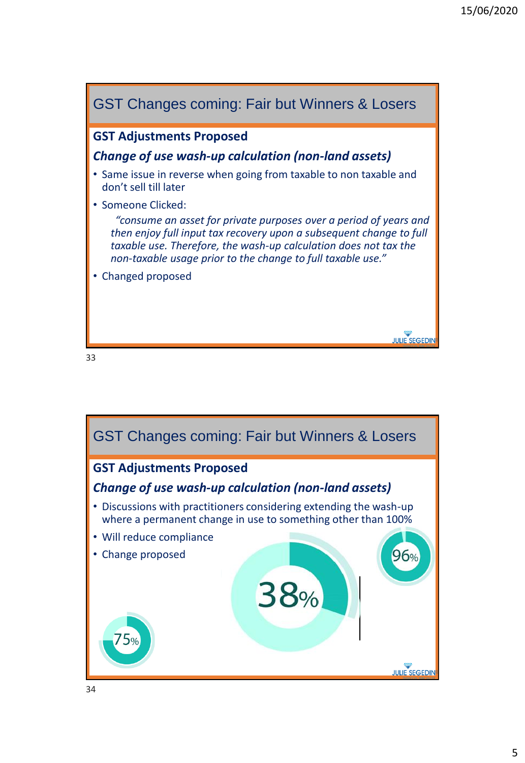

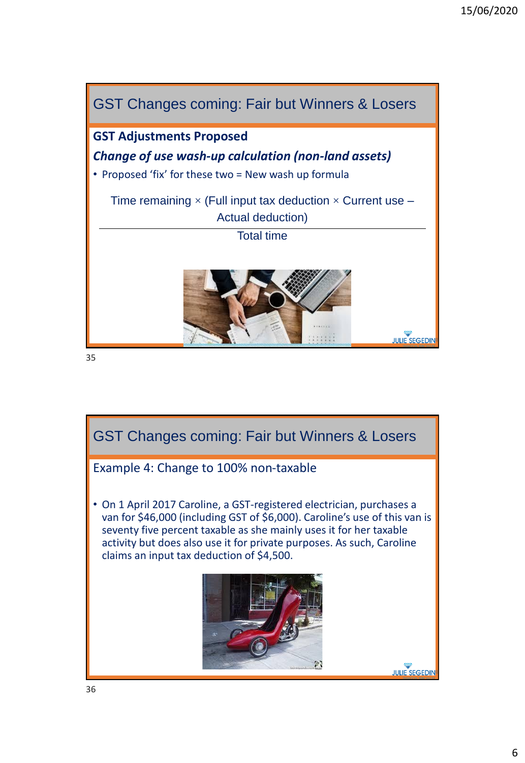

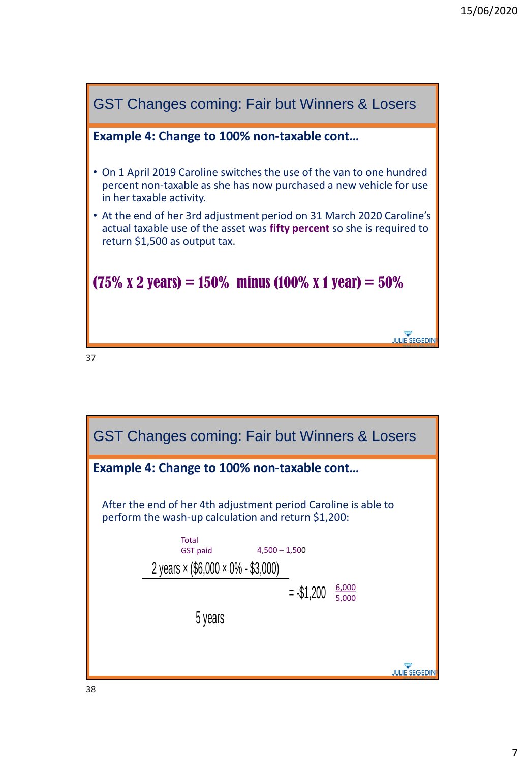

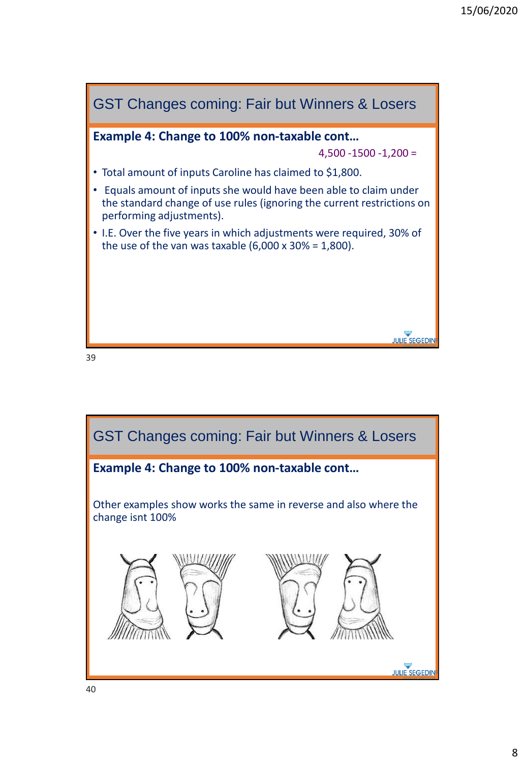

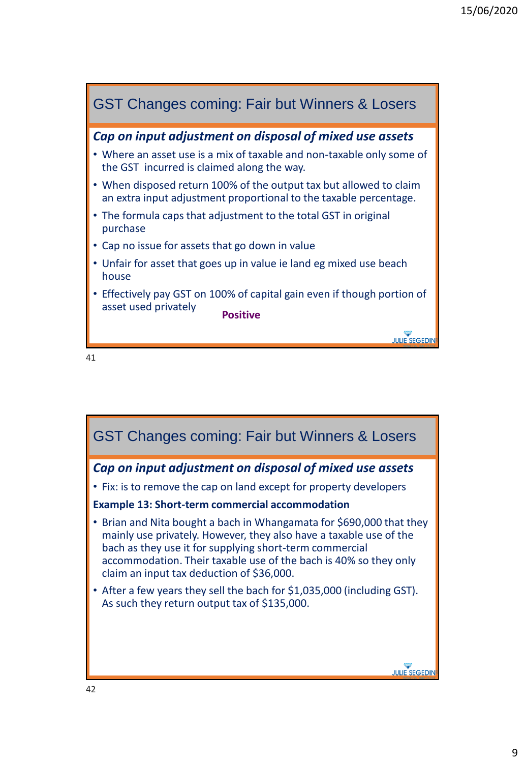

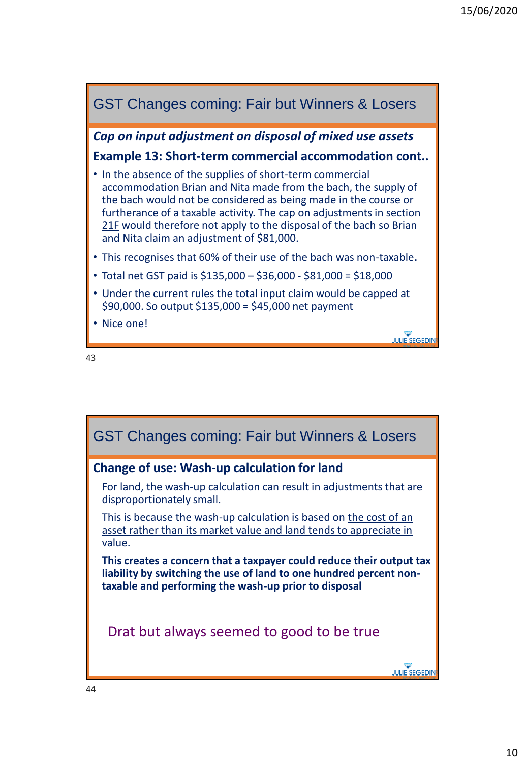

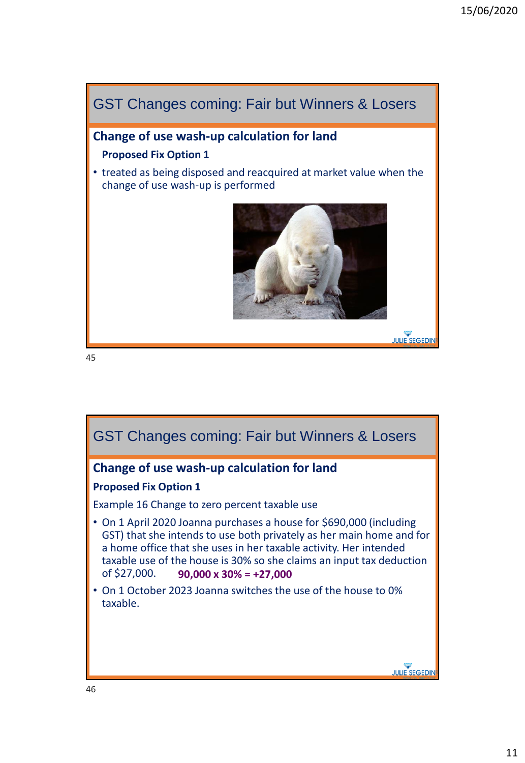

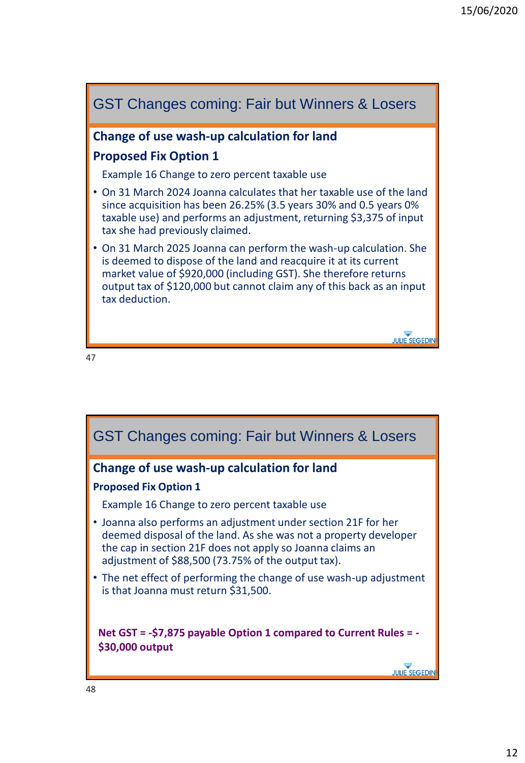

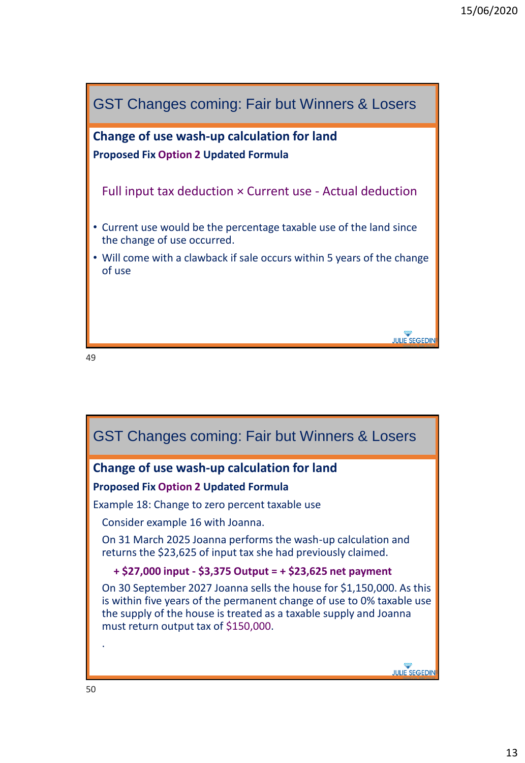